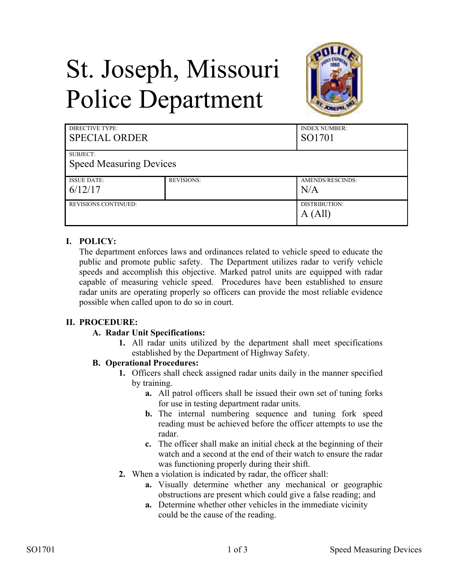# St. Joseph, Missouri Police Department



| <b>DIRECTIVE TYPE:</b><br><b>SPECIAL ORDER</b> |                   | <b>INDEX NUMBER:</b><br>SO1701 |
|------------------------------------------------|-------------------|--------------------------------|
| SUBJECT:                                       |                   |                                |
| <b>Speed Measuring Devices</b>                 |                   |                                |
| <b>ISSUE DATE:</b>                             | <b>REVISIONS:</b> | AMENDS/RESCINDS:               |
| 6/12/17                                        |                   | N/A                            |
| <b>REVISIONS CONTINUED:</b>                    |                   | DISTRIBUTION:                  |
|                                                |                   | A (All)                        |

## **I. POLICY:**

The department enforces laws and ordinances related to vehicle speed to educate the public and promote public safety. The Department utilizes radar to verify vehicle speeds and accomplish this objective. Marked patrol units are equipped with radar capable of measuring vehicle speed. Procedures have been established to ensure radar units are operating properly so officers can provide the most reliable evidence possible when called upon to do so in court.

### **II. PROCEDURE:**

### **A. Radar Unit Specifications:**

**1.** All radar units utilized by the department shall meet specifications established by the Department of Highway Safety.

## **B. Operational Procedures:**

- **1.** Officers shall check assigned radar units daily in the manner specified by training.
	- **a.** All patrol officers shall be issued their own set of tuning forks for use in testing department radar units.
	- **b.** The internal numbering sequence and tuning fork speed reading must be achieved before the officer attempts to use the radar.
	- **c.** The officer shall make an initial check at the beginning of their watch and a second at the end of their watch to ensure the radar was functioning properly during their shift.
- **2.** When a violation is indicated by radar, the officer shall:
	- **a.** Visually determine whether any mechanical or geographic obstructions are present which could give a false reading; and
	- **a.** Determine whether other vehicles in the immediate vicinity could be the cause of the reading.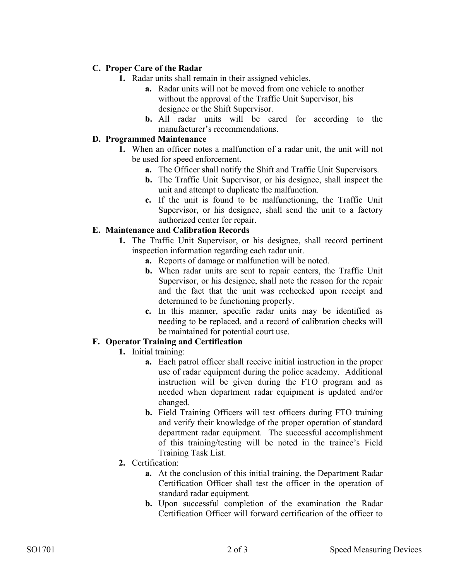## **C. Proper Care of the Radar**

- **1.** Radar units shall remain in their assigned vehicles.
	- **a.** Radar units will not be moved from one vehicle to another without the approval of the Traffic Unit Supervisor, his designee or the Shift Supervisor.
	- **b.** All radar units will be cared for according to the manufacturer's recommendations.

## **D. Programmed Maintenance**

- **1.** When an officer notes a malfunction of a radar unit, the unit will not be used for speed enforcement.
	- **a.** The Officer shall notify the Shift and Traffic Unit Supervisors.
	- **b.** The Traffic Unit Supervisor, or his designee, shall inspect the unit and attempt to duplicate the malfunction.
	- **c.** If the unit is found to be malfunctioning, the Traffic Unit Supervisor, or his designee, shall send the unit to a factory authorized center for repair.

### **E. Maintenance and Calibration Records**

- **1.** The Traffic Unit Supervisor, or his designee, shall record pertinent inspection information regarding each radar unit.
	- **a.** Reports of damage or malfunction will be noted.
	- **b.** When radar units are sent to repair centers, the Traffic Unit Supervisor, or his designee, shall note the reason for the repair and the fact that the unit was rechecked upon receipt and determined to be functioning properly.
	- **c.** In this manner, specific radar units may be identified as needing to be replaced, and a record of calibration checks will be maintained for potential court use.

### **F. Operator Training and Certification**

- **1.** Initial training:
	- **a.** Each patrol officer shall receive initial instruction in the proper use of radar equipment during the police academy. Additional instruction will be given during the FTO program and as needed when department radar equipment is updated and/or changed.
	- **b.** Field Training Officers will test officers during FTO training and verify their knowledge of the proper operation of standard department radar equipment. The successful accomplishment of this training/testing will be noted in the trainee's Field Training Task List.
- **2.** Certification:
	- **a.** At the conclusion of this initial training, the Department Radar Certification Officer shall test the officer in the operation of standard radar equipment.
	- **b.** Upon successful completion of the examination the Radar Certification Officer will forward certification of the officer to